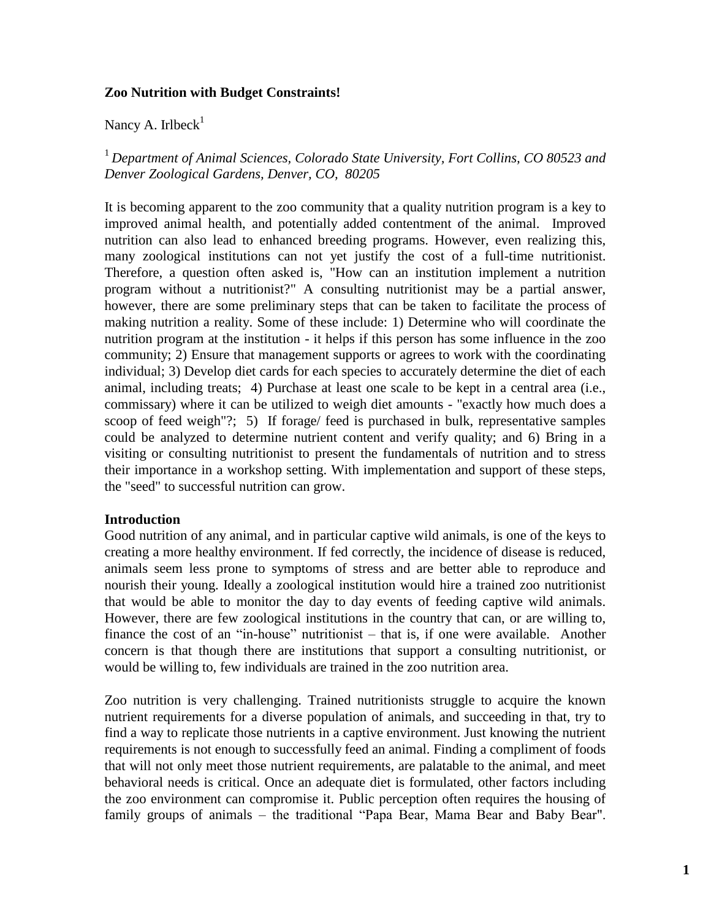### **Zoo Nutrition with Budget Constraints!**

Nancy A. Irlbeck $<sup>1</sup>$ </sup>

<sup>1</sup>*Department of Animal Sciences, Colorado State University, Fort Collins, CO 80523 and Denver Zoological Gardens, Denver, CO, 80205*

It is becoming apparent to the zoo community that a quality nutrition program is a key to improved animal health, and potentially added contentment of the animal. Improved nutrition can also lead to enhanced breeding programs. However, even realizing this, many zoological institutions can not yet justify the cost of a full-time nutritionist. Therefore, a question often asked is, "How can an institution implement a nutrition program without a nutritionist?" A consulting nutritionist may be a partial answer, however, there are some preliminary steps that can be taken to facilitate the process of making nutrition a reality. Some of these include: 1) Determine who will coordinate the nutrition program at the institution - it helps if this person has some influence in the zoo community; 2) Ensure that management supports or agrees to work with the coordinating individual; 3) Develop diet cards for each species to accurately determine the diet of each animal, including treats; 4) Purchase at least one scale to be kept in a central area (i.e., commissary) where it can be utilized to weigh diet amounts - "exactly how much does a scoop of feed weigh"?; 5) If forage/ feed is purchased in bulk, representative samples could be analyzed to determine nutrient content and verify quality; and 6) Bring in a visiting or consulting nutritionist to present the fundamentals of nutrition and to stress their importance in a workshop setting. With implementation and support of these steps, the "seed" to successful nutrition can grow.

#### **Introduction**

Good nutrition of any animal, and in particular captive wild animals, is one of the keys to creating a more healthy environment. If fed correctly, the incidence of disease is reduced, animals seem less prone to symptoms of stress and are better able to reproduce and nourish their young. Ideally a zoological institution would hire a trained zoo nutritionist that would be able to monitor the day to day events of feeding captive wild animals. However, there are few zoological institutions in the country that can, or are willing to, finance the cost of an "in-house" nutritionist – that is, if one were available. Another concern is that though there are institutions that support a consulting nutritionist, or would be willing to, few individuals are trained in the zoo nutrition area.

Zoo nutrition is very challenging. Trained nutritionists struggle to acquire the known nutrient requirements for a diverse population of animals, and succeeding in that, try to find a way to replicate those nutrients in a captive environment. Just knowing the nutrient requirements is not enough to successfully feed an animal. Finding a compliment of foods that will not only meet those nutrient requirements, are palatable to the animal, and meet behavioral needs is critical. Once an adequate diet is formulated, other factors including the zoo environment can compromise it. Public perception often requires the housing of family groups of animals – the traditional "Papa Bear, Mama Bear and Baby Bear".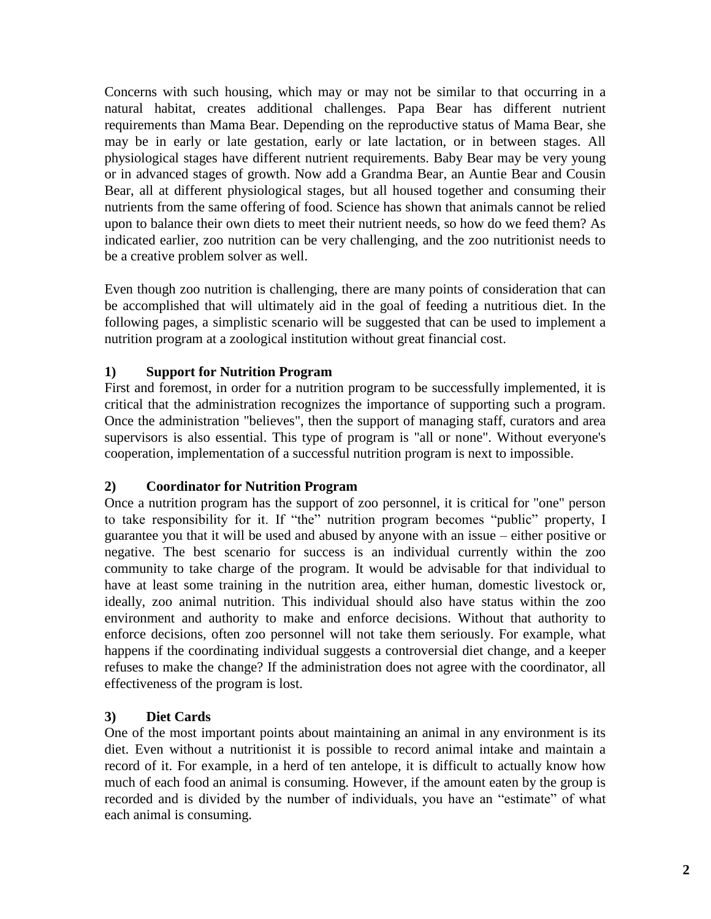Concerns with such housing, which may or may not be similar to that occurring in a natural habitat, creates additional challenges. Papa Bear has different nutrient requirements than Mama Bear. Depending on the reproductive status of Mama Bear, she may be in early or late gestation, early or late lactation, or in between stages. All physiological stages have different nutrient requirements. Baby Bear may be very young or in advanced stages of growth. Now add a Grandma Bear, an Auntie Bear and Cousin Bear, all at different physiological stages, but all housed together and consuming their nutrients from the same offering of food. Science has shown that animals cannot be relied upon to balance their own diets to meet their nutrient needs, so how do we feed them? As indicated earlier, zoo nutrition can be very challenging, and the zoo nutritionist needs to be a creative problem solver as well.

Even though zoo nutrition is challenging, there are many points of consideration that can be accomplished that will ultimately aid in the goal of feeding a nutritious diet. In the following pages, a simplistic scenario will be suggested that can be used to implement a nutrition program at a zoological institution without great financial cost.

# **1) Support for Nutrition Program**

First and foremost, in order for a nutrition program to be successfully implemented, it is critical that the administration recognizes the importance of supporting such a program. Once the administration "believes", then the support of managing staff, curators and area supervisors is also essential. This type of program is "all or none". Without everyone's cooperation, implementation of a successful nutrition program is next to impossible.

# **2) Coordinator for Nutrition Program**

Once a nutrition program has the support of zoo personnel, it is critical for "one" person to take responsibility for it. If "the" nutrition program becomes "public" property, I guarantee you that it will be used and abused by anyone with an issue – either positive or negative. The best scenario for success is an individual currently within the zoo community to take charge of the program. It would be advisable for that individual to have at least some training in the nutrition area, either human, domestic livestock or, ideally, zoo animal nutrition. This individual should also have status within the zoo environment and authority to make and enforce decisions. Without that authority to enforce decisions, often zoo personnel will not take them seriously. For example, what happens if the coordinating individual suggests a controversial diet change, and a keeper refuses to make the change? If the administration does not agree with the coordinator, all effectiveness of the program is lost.

# **3) Diet Cards**

One of the most important points about maintaining an animal in any environment is its diet. Even without a nutritionist it is possible to record animal intake and maintain a record of it. For example, in a herd of ten antelope, it is difficult to actually know how much of each food an animal is consuming. However, if the amount eaten by the group is recorded and is divided by the number of individuals, you have an "estimate" of what each animal is consuming.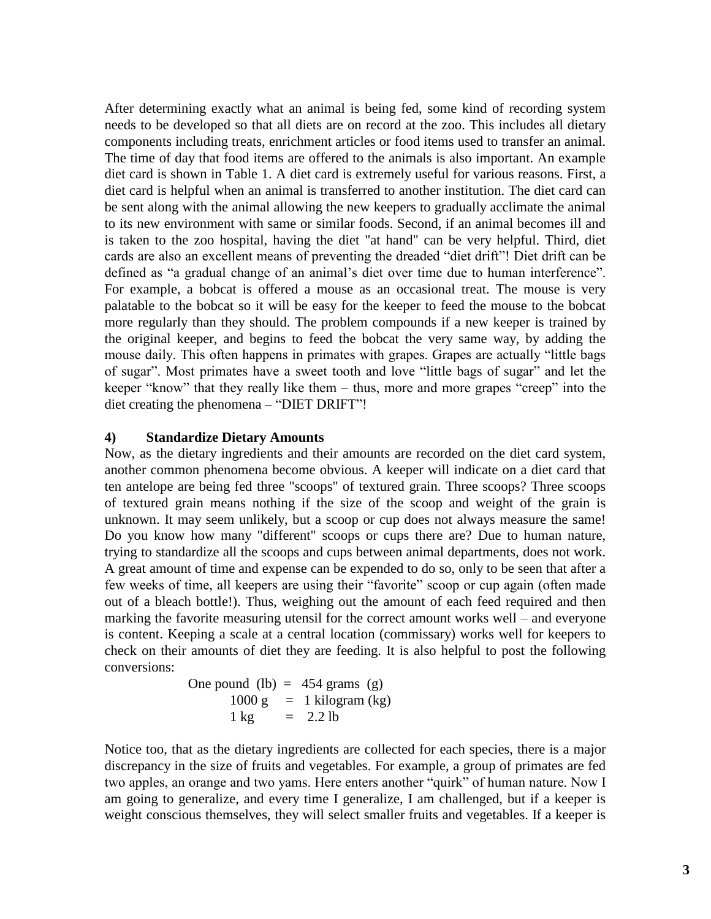After determining exactly what an animal is being fed, some kind of recording system needs to be developed so that all diets are on record at the zoo. This includes all dietary components including treats, enrichment articles or food items used to transfer an animal. The time of day that food items are offered to the animals is also important. An example diet card is shown in Table 1. A diet card is extremely useful for various reasons. First, a diet card is helpful when an animal is transferred to another institution. The diet card can be sent along with the animal allowing the new keepers to gradually acclimate the animal to its new environment with same or similar foods. Second, if an animal becomes ill and is taken to the zoo hospital, having the diet "at hand" can be very helpful. Third, diet cards are also an excellent means of preventing the dreaded "diet drift"! Diet drift can be defined as "a gradual change of an animal's diet over time due to human interference". For example, a bobcat is offered a mouse as an occasional treat. The mouse is very palatable to the bobcat so it will be easy for the keeper to feed the mouse to the bobcat more regularly than they should. The problem compounds if a new keeper is trained by the original keeper, and begins to feed the bobcat the very same way, by adding the mouse daily. This often happens in primates with grapes. Grapes are actually "little bags of sugar". Most primates have a sweet tooth and love "little bags of sugar" and let the keeper "know" that they really like them – thus, more and more grapes "creep" into the diet creating the phenomena – "DIET DRIFT"!

#### **4) Standardize Dietary Amounts**

Now, as the dietary ingredients and their amounts are recorded on the diet card system, another common phenomena become obvious. A keeper will indicate on a diet card that ten antelope are being fed three "scoops" of textured grain. Three scoops? Three scoops of textured grain means nothing if the size of the scoop and weight of the grain is unknown. It may seem unlikely, but a scoop or cup does not always measure the same! Do you know how many "different" scoops or cups there are? Due to human nature, trying to standardize all the scoops and cups between animal departments, does not work. A great amount of time and expense can be expended to do so, only to be seen that after a few weeks of time, all keepers are using their "favorite" scoop or cup again (often made out of a bleach bottle!). Thus, weighing out the amount of each feed required and then marking the favorite measuring utensil for the correct amount works well – and everyone is content. Keeping a scale at a central location (commissary) works well for keepers to check on their amounts of diet they are feeding. It is also helpful to post the following conversions:

> One pound (lb)  $= 454$  grams (g)  $1000 \text{ g} = 1 \text{ kilogram (kg)}$  $1 \text{ kg}$  = 2.2 lb

Notice too, that as the dietary ingredients are collected for each species, there is a major discrepancy in the size of fruits and vegetables. For example, a group of primates are fed two apples, an orange and two yams. Here enters another "quirk" of human nature. Now I am going to generalize, and every time I generalize, I am challenged, but if a keeper is weight conscious themselves, they will select smaller fruits and vegetables. If a keeper is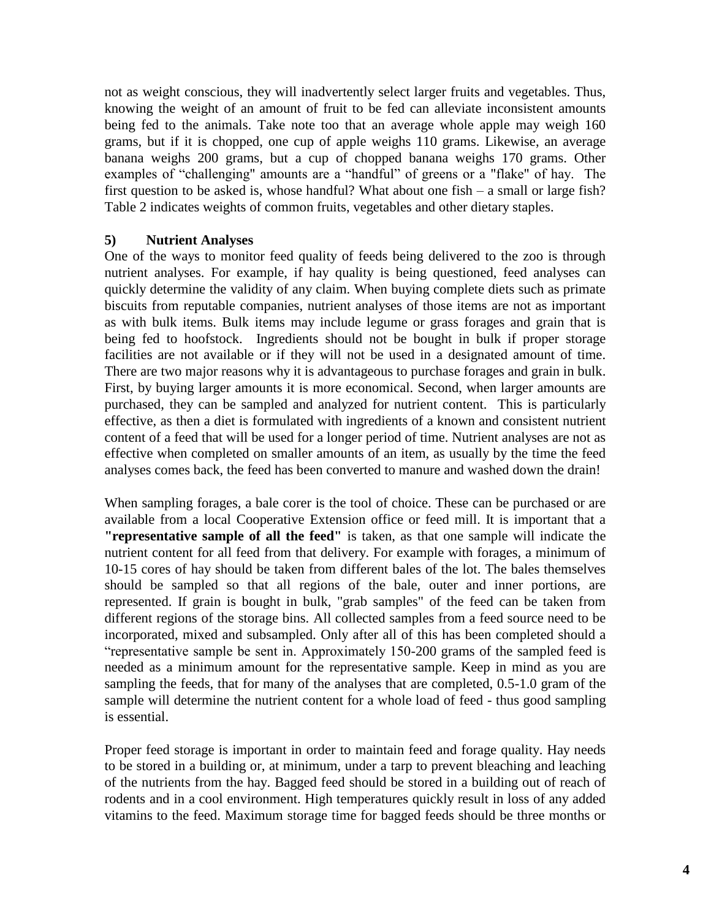not as weight conscious, they will inadvertently select larger fruits and vegetables. Thus, knowing the weight of an amount of fruit to be fed can alleviate inconsistent amounts being fed to the animals. Take note too that an average whole apple may weigh 160 grams, but if it is chopped, one cup of apple weighs 110 grams. Likewise, an average banana weighs 200 grams, but a cup of chopped banana weighs 170 grams. Other examples of "challenging" amounts are a "handful" of greens or a "flake" of hay. The first question to be asked is, whose handful? What about one fish – a small or large fish? Table 2 indicates weights of common fruits, vegetables and other dietary staples.

### **5) Nutrient Analyses**

One of the ways to monitor feed quality of feeds being delivered to the zoo is through nutrient analyses. For example, if hay quality is being questioned, feed analyses can quickly determine the validity of any claim. When buying complete diets such as primate biscuits from reputable companies, nutrient analyses of those items are not as important as with bulk items. Bulk items may include legume or grass forages and grain that is being fed to hoofstock. Ingredients should not be bought in bulk if proper storage facilities are not available or if they will not be used in a designated amount of time. There are two major reasons why it is advantageous to purchase forages and grain in bulk. First, by buying larger amounts it is more economical. Second, when larger amounts are purchased, they can be sampled and analyzed for nutrient content. This is particularly effective, as then a diet is formulated with ingredients of a known and consistent nutrient content of a feed that will be used for a longer period of time. Nutrient analyses are not as effective when completed on smaller amounts of an item, as usually by the time the feed analyses comes back, the feed has been converted to manure and washed down the drain!

When sampling forages, a bale corer is the tool of choice. These can be purchased or are available from a local Cooperative Extension office or feed mill. It is important that a **"representative sample of all the feed"** is taken, as that one sample will indicate the nutrient content for all feed from that delivery. For example with forages, a minimum of 10-15 cores of hay should be taken from different bales of the lot. The bales themselves should be sampled so that all regions of the bale, outer and inner portions, are represented. If grain is bought in bulk, "grab samples" of the feed can be taken from different regions of the storage bins. All collected samples from a feed source need to be incorporated, mixed and subsampled. Only after all of this has been completed should a "representative sample be sent in. Approximately 150-200 grams of the sampled feed is needed as a minimum amount for the representative sample. Keep in mind as you are sampling the feeds, that for many of the analyses that are completed, 0.5-1.0 gram of the sample will determine the nutrient content for a whole load of feed - thus good sampling is essential.

Proper feed storage is important in order to maintain feed and forage quality. Hay needs to be stored in a building or, at minimum, under a tarp to prevent bleaching and leaching of the nutrients from the hay. Bagged feed should be stored in a building out of reach of rodents and in a cool environment. High temperatures quickly result in loss of any added vitamins to the feed. Maximum storage time for bagged feeds should be three months or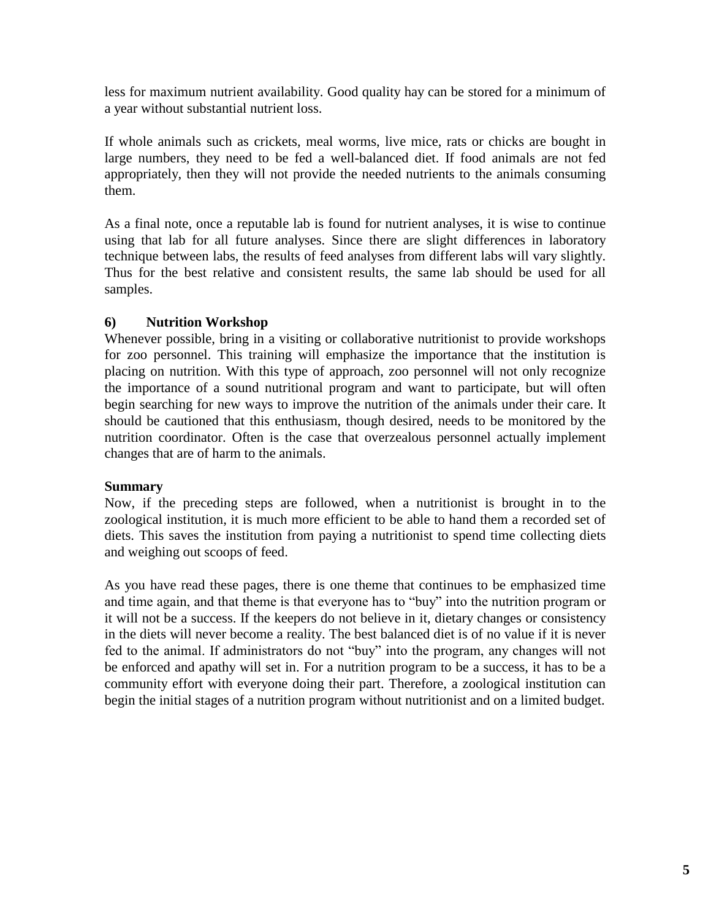less for maximum nutrient availability. Good quality hay can be stored for a minimum of a year without substantial nutrient loss.

If whole animals such as crickets, meal worms, live mice, rats or chicks are bought in large numbers, they need to be fed a well-balanced diet. If food animals are not fed appropriately, then they will not provide the needed nutrients to the animals consuming them.

As a final note, once a reputable lab is found for nutrient analyses, it is wise to continue using that lab for all future analyses. Since there are slight differences in laboratory technique between labs, the results of feed analyses from different labs will vary slightly. Thus for the best relative and consistent results, the same lab should be used for all samples.

# **6) Nutrition Workshop**

Whenever possible, bring in a visiting or collaborative nutritionist to provide workshops for zoo personnel. This training will emphasize the importance that the institution is placing on nutrition. With this type of approach, zoo personnel will not only recognize the importance of a sound nutritional program and want to participate, but will often begin searching for new ways to improve the nutrition of the animals under their care. It should be cautioned that this enthusiasm, though desired, needs to be monitored by the nutrition coordinator. Often is the case that overzealous personnel actually implement changes that are of harm to the animals.

#### **Summary**

Now, if the preceding steps are followed, when a nutritionist is brought in to the zoological institution, it is much more efficient to be able to hand them a recorded set of diets. This saves the institution from paying a nutritionist to spend time collecting diets and weighing out scoops of feed.

As you have read these pages, there is one theme that continues to be emphasized time and time again, and that theme is that everyone has to "buy" into the nutrition program or it will not be a success. If the keepers do not believe in it, dietary changes or consistency in the diets will never become a reality. The best balanced diet is of no value if it is never fed to the animal. If administrators do not "buy" into the program, any changes will not be enforced and apathy will set in. For a nutrition program to be a success, it has to be a community effort with everyone doing their part. Therefore, a zoological institution can begin the initial stages of a nutrition program without nutritionist and on a limited budget.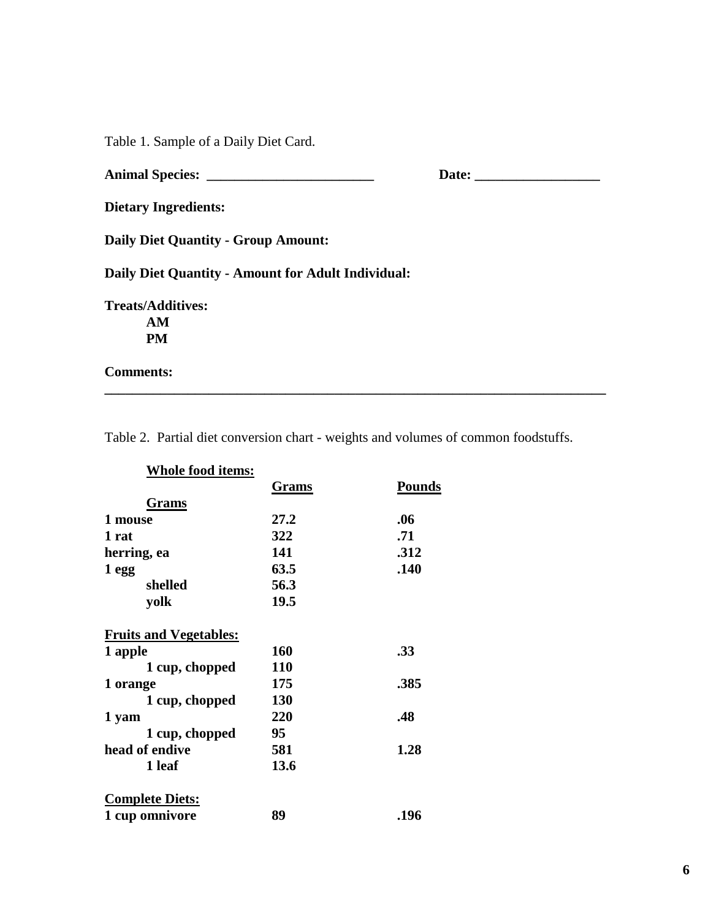Table 1. Sample of a Daily Diet Card.

|                                                    | Date: |
|----------------------------------------------------|-------|
| <b>Dietary Ingredients:</b>                        |       |
| <b>Daily Diet Quantity - Group Amount:</b>         |       |
| Daily Diet Quantity - Amount for Adult Individual: |       |
| <b>Treats/Additives:</b>                           |       |
| AM                                                 |       |
| <b>PM</b>                                          |       |
| <b>Comments:</b>                                   |       |

Table 2. Partial diet conversion chart - weights and volumes of common foodstuffs.

| <b>Whole food items:</b>      |       |               |
|-------------------------------|-------|---------------|
|                               | Grams | <b>Pounds</b> |
| Grams                         |       |               |
| 1 mouse                       | 27.2  | .06           |
| 1 rat                         | 322   | .71           |
| herring, ea                   | 141   | .312          |
| 1 egg                         | 63.5  | .140          |
| shelled                       | 56.3  |               |
| yolk                          | 19.5  |               |
| <b>Fruits and Vegetables:</b> |       |               |
| 1 apple                       | 160   | .33           |
| 1 cup, chopped                | 110   |               |
| 1 orange                      | 175   | .385          |
| 1 cup, chopped                | 130   |               |
| 1 yam                         | 220   | .48           |
| 1 cup, chopped                | 95    |               |
| head of endive                | 581   | 1.28          |
| 1 leaf                        | 13.6  |               |
| <b>Complete Diets:</b>        |       |               |
| 1 cup omnivore                | 89    | .196          |